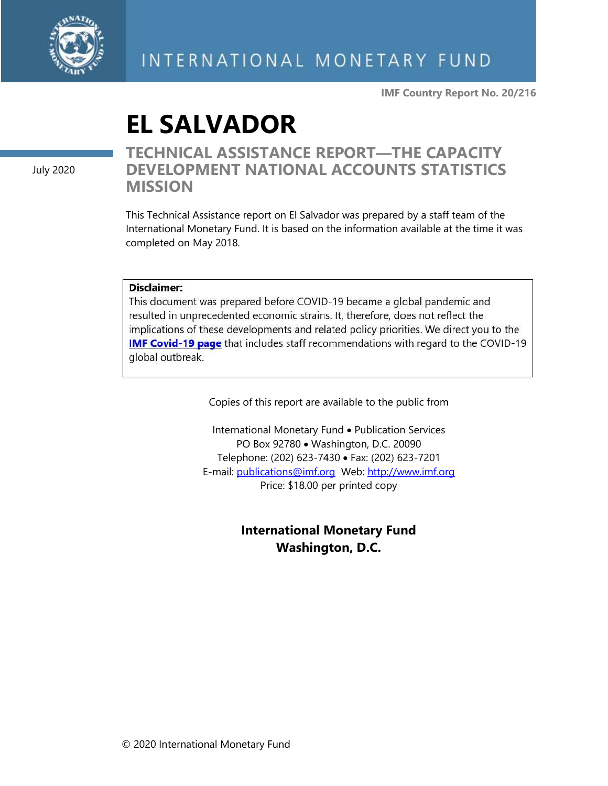

**IMF Country Report No. 20/216**

# **EL SALVADOR**

July 2020

#### **TECHNICAL ASSISTANCE REPORT—THE CAPACITY DEVELOPMENT NATIONAL ACCOUNTS STATISTICS MISSION**

This Technical Assistance report on El Salvador was prepared by a staff team of the International Monetary Fund. It is based on the information available at the time it was completed on May 2018.

#### Disclaimer:

This document was prepared before COVID-19 became a global pandemic and resulted in unprecedented economic strains. It, therefore, does not reflect the implications of these developments and related policy priorities. We direct you to the **IMF Covid-19 page** that includes staff recommendations with regard to the COVID-19 global outbreak.

Copies of this report are available to the public from

International Monetary Fund • Publication Services PO Box 92780 • Washington, D.C. 20090 Telephone: (202) 623-7430 • Fax: (202) 623-7201 E-mail: [publications@imf.org](mailto:publications@imf.org) Web: [http://www.imf.org](http://www.imf.org/) Price: \$18.00 per printed copy

#### **International Monetary Fund Washington, D.C.**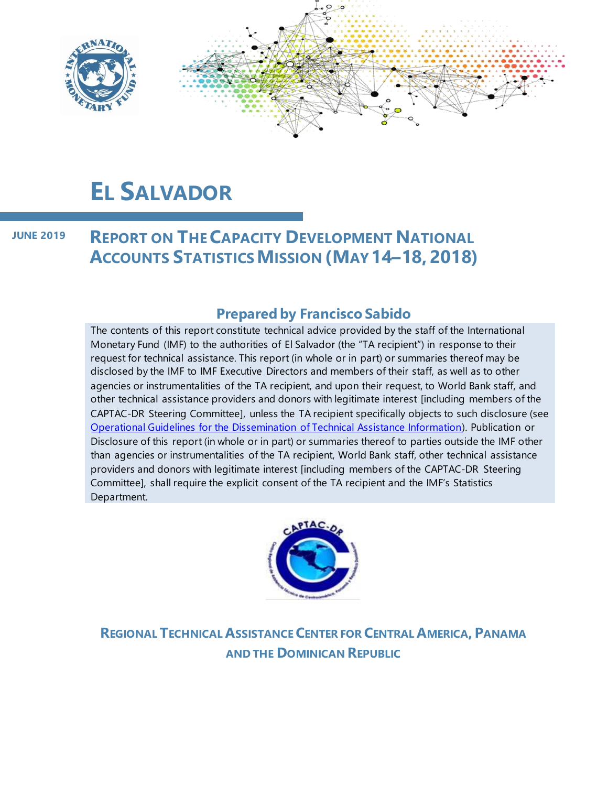

# **EL SALVADOR**

**REPORT ON THECAPACITY DEVELOPMENT NATIONAL ACCOUNTS STATISTICSMISSION (MAY 14–18, 2018) JUNE 2019**

#### **Prepared by Francisco Sabido**

The contents of this report constitute technical advice provided by the staff of the International Monetary Fund (IMF) to the authorities of El Salvador (the "TA recipient") in response to their request for technical assistance. This report (in whole or in part) or summaries thereof may be disclosed by the IMF to IMF Executive Directors and members of their staff, as well as to other agencies or instrumentalities of the TA recipient, and upon their request, to World Bank staff, and other technical assistance providers and donors with legitimate interest [including members of the CAPTAC-DR Steering Committee], unless the TA recipient specifically objects to such disclosure (see [Operational Guidelines for the Dissemination of Technical Assistance Information\)](http://www.imf.org/external/np/pp/eng/2013/061013.pdf). Publication or Disclosure of this report (in whole or in part) or summaries thereof to parties outside the IMF other than agencies or instrumentalities of the TA recipient, World Bank staff, other technical assistance providers and donors with legitimate interest [including members of the CAPTAC-DR Steering Committee], shall require the explicit consent of the TA recipient and the IMF's Statistics Department.



**REGIONAL TECHNICAL ASSISTANCE CENTER FOR CENTRAL AMERICA, PANAMA AND THE DOMINICAN REPUBLIC**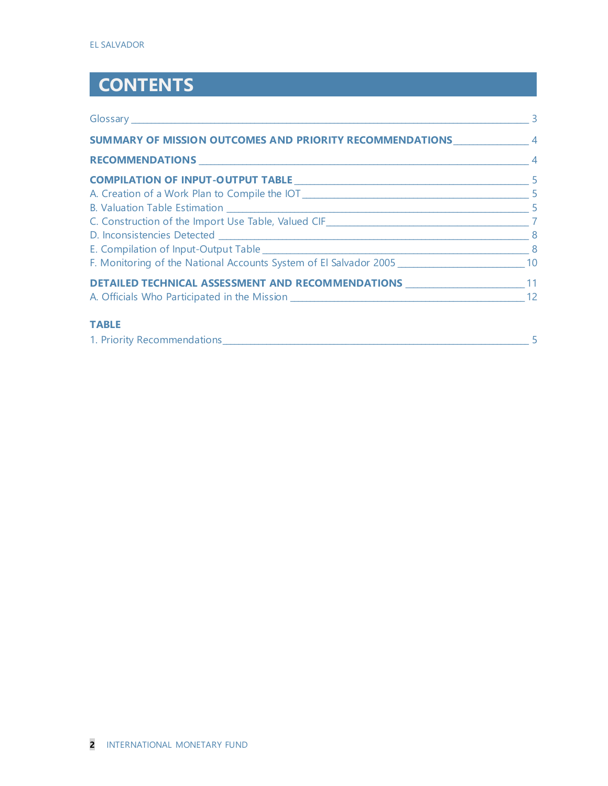# **CONTENTS**

| SUMMARY OF MISSION OUTCOMES AND PRIORITY RECOMMENDATIONS 44 |  |
|-------------------------------------------------------------|--|
|                                                             |  |
|                                                             |  |
|                                                             |  |
|                                                             |  |
|                                                             |  |
|                                                             |  |
|                                                             |  |
|                                                             |  |
| <b>DETAILED TECHNICAL ASSESSMENT AND RECOMMENDATIONS</b> 11 |  |
|                                                             |  |
| <b>TABLE</b>                                                |  |
| 1. Priority Recommendations 55                              |  |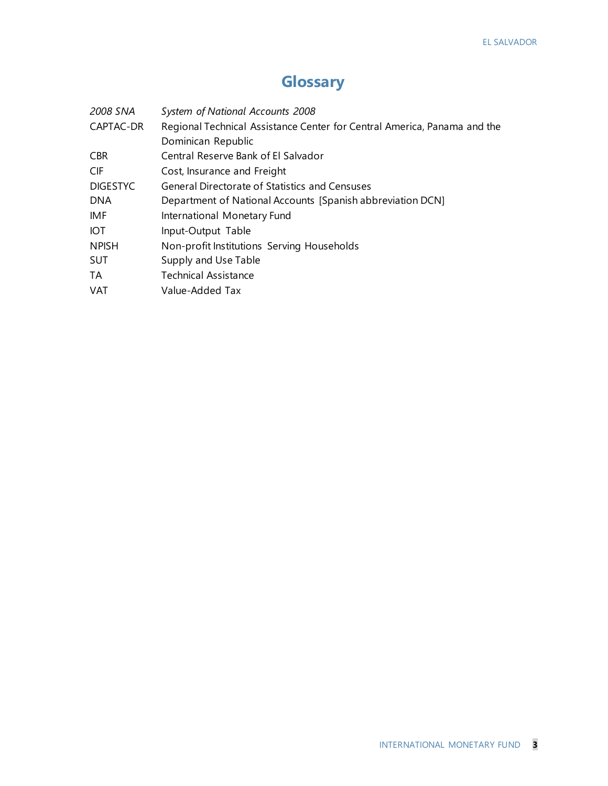### **Glossary**

| 2008 SNA        | System of National Accounts 2008                                         |  |  |
|-----------------|--------------------------------------------------------------------------|--|--|
| CAPTAC-DR       | Regional Technical Assistance Center for Central America, Panama and the |  |  |
|                 | Dominican Republic                                                       |  |  |
| <b>CBR</b>      | Central Reserve Bank of El Salvador                                      |  |  |
| <b>CIF</b>      | Cost, Insurance and Freight                                              |  |  |
| <b>DIGESTYC</b> | General Directorate of Statistics and Censuses                           |  |  |
| <b>DNA</b>      | Department of National Accounts [Spanish abbreviation DCN]               |  |  |
| <b>IMF</b>      | International Monetary Fund                                              |  |  |
| <b>IOT</b>      | Input-Output Table                                                       |  |  |
| <b>NPISH</b>    | Non-profit Institutions Serving Households                               |  |  |
| <b>SUT</b>      | Supply and Use Table                                                     |  |  |
| TA              | <b>Technical Assistance</b>                                              |  |  |
| <b>VAT</b>      | Value-Added Tax                                                          |  |  |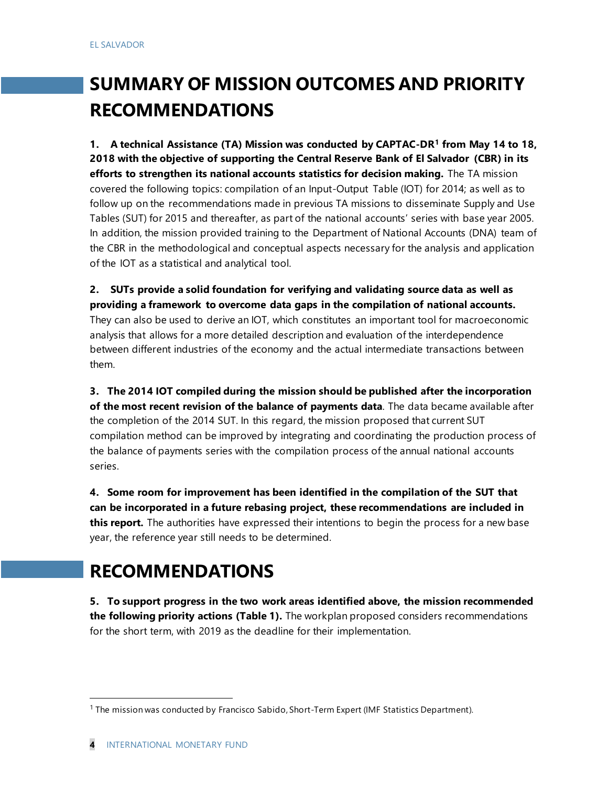## **SUMMARY OF MISSION OUTCOMES AND PRIORITY RECOMMENDATIONS**

**1. A technical Assistance (TA) Mission was conducted by CAPTAC-DR<sup>1</sup> from May 14 to 18, 2018 with the objective of supporting the Central Reserve Bank of El Salvador (CBR) in its efforts to strengthen its national accounts statistics for decision making.** The TA mission covered the following topics: compilation of an Input-Output Table (IOT) for 2014; as well as to follow up on the recommendations made in previous TA missions to disseminate Supply and Use Tables (SUT) for 2015 and thereafter, as part of the national accounts' series with base year 2005. In addition, the mission provided training to the Department of National Accounts (DNA) team of the CBR in the methodological and conceptual aspects necessary for the analysis and application of the IOT as a statistical and analytical tool.

**2. SUTs provide a solid foundation for verifying and validating source data as well as providing a framework to overcome data gaps in the compilation of national accounts.**  They can also be used to derive an IOT, which constitutes an important tool for macroeconomic analysis that allows for a more detailed description and evaluation of the interdependence between different industries of the economy and the actual intermediate transactions between them.

**3. The 2014 IOT compiled during the mission should be published after the incorporation of the most recent revision of the balance of payments data**. The data became available after the completion of the 2014 SUT. In this regard, the mission proposed that current SUT compilation method can be improved by integrating and coordinating the production process of the balance of payments series with the compilation process of the annual national accounts series.

**4. Some room for improvement has been identified in the compilation of the SUT that can be incorporated in a future rebasing project, these recommendations are included in this report.** The authorities have expressed their intentions to begin the process for a new base year, the reference year still needs to be determined.

### **RECOMMENDATIONS**

**5. To support progress in the two work areas identified above, the mission recommended the following priority actions (Table 1).** The workplan proposed considers recommendations for the short term, with 2019 as the deadline for their implementation.

<sup>&</sup>lt;sup>1</sup> The mission was conducted by Francisco Sabido, Short-Term Expert (IMF Statistics Department).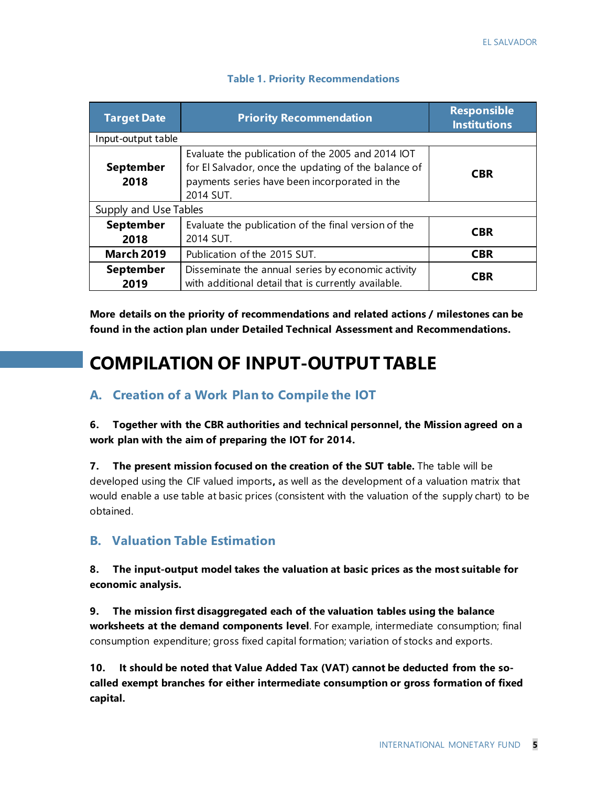| <b>Target Date</b>                                                                                                                                  | <b>Priority Recommendation</b> | <b>Responsible</b><br><b>Institutions</b> |  |  |
|-----------------------------------------------------------------------------------------------------------------------------------------------------|--------------------------------|-------------------------------------------|--|--|
| Input-output table                                                                                                                                  |                                |                                           |  |  |
| <b>September</b><br>2018                                                                                                                            | <b>CBR</b>                     |                                           |  |  |
| Supply and Use Tables                                                                                                                               |                                |                                           |  |  |
| <b>September</b><br>Evaluate the publication of the final version of the<br>2014 SUT.<br>2018                                                       |                                | <b>CBR</b>                                |  |  |
| <b>March 2019</b><br>Publication of the 2015 SUT.                                                                                                   |                                | <b>CBR</b>                                |  |  |
| <b>September</b><br>Disseminate the annual series by economic activity<br><b>CBR</b><br>with additional detail that is currently available.<br>2019 |                                |                                           |  |  |

#### **Table 1. Priority Recommendations**

**More details on the priority of recommendations and related actions / milestones can be found in the action plan under Detailed Technical Assessment and Recommendations.**

## **COMPILATION OF INPUT-OUTPUT TABLE**

#### **A. Creation of a Work Plan to Compile the IOT**

**6. Together with the CBR authorities and technical personnel, the Mission agreed on a work plan with the aim of preparing the IOT for 2014.**

**7. The present mission focused on the creation of the SUT table.** The table will be developed using the CIF valued imports**,** as well as the development of a valuation matrix that would enable a use table at basic prices (consistent with the valuation of the supply chart) to be obtained.

#### **B. Valuation Table Estimation**

**8. The input-output model takes the valuation at basic prices as the most suitable for economic analysis.**

**9. The mission first disaggregated each of the valuation tables using the balance worksheets at the demand components level**. For example, intermediate consumption; final consumption expenditure; gross fixed capital formation; variation of stocks and exports.

**10. It should be noted that Value Added Tax (VAT) cannot be deducted from the socalled exempt branches for either intermediate consumption or gross formation of fixed capital.**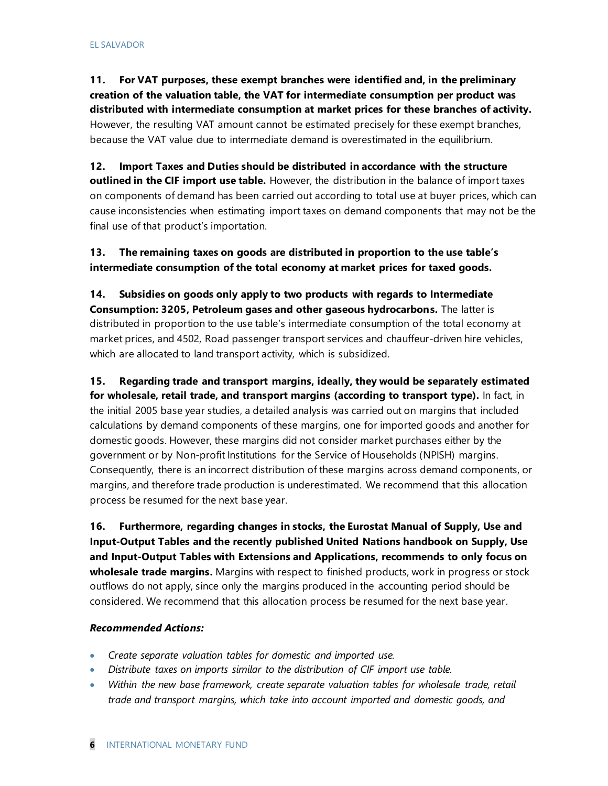**11. For VAT purposes, these exempt branches were identified and, in the preliminary creation of the valuation table, the VAT for intermediate consumption per product was distributed with intermediate consumption at market prices for these branches of activity.** However, the resulting VAT amount cannot be estimated precisely for these exempt branches, because the VAT value due to intermediate demand is overestimated in the equilibrium.

**12. Import Taxes and Duties should be distributed in accordance with the structure outlined in the CIF import use table.** However, the distribution in the balance of import taxes on components of demand has been carried out according to total use at buyer prices, which can cause inconsistencies when estimating import taxes on demand components that may not be the final use of that product's importation.

**13. The remaining taxes on goods are distributed in proportion to the use table's intermediate consumption of the total economy at market prices for taxed goods.**

**14. Subsidies on goods only apply to two products with regards to Intermediate Consumption: 3205, Petroleum gases and other gaseous hydrocarbons.** The latter is distributed in proportion to the use table's intermediate consumption of the total economy at market prices, and 4502, Road passenger transport services and chauffeur-driven hire vehicles, which are allocated to land transport activity, which is subsidized.

**15. Regarding trade and transport margins, ideally, they would be separately estimated for wholesale, retail trade, and transport margins (according to transport type).** In fact, in the initial 2005 base year studies, a detailed analysis was carried out on margins that included calculations by demand components of these margins, one for imported goods and another for domestic goods. However, these margins did not consider market purchases either by the government or by Non-profit Institutions for the Service of Households (NPISH) margins. Consequently, there is an incorrect distribution of these margins across demand components, or margins, and therefore trade production is underestimated. We recommend that this allocation process be resumed for the next base year.

**16. Furthermore, regarding changes in stocks, the Eurostat Manual of Supply, Use and Input-Output Tables and the recently published United Nations handbook on Supply, Use and Input-Output Tables with Extensions and Applications, recommends to only focus on wholesale trade margins.** Margins with respect to finished products, work in progress or stock outflows do not apply, since only the margins produced in the accounting period should be considered. We recommend that this allocation process be resumed for the next base year.

#### *Recommended Actions:*

- *Create separate valuation tables for domestic and imported use.*
- *Distribute taxes on imports similar to the distribution of CIF import use table.*
- *Within the new base framework, create separate valuation tables for wholesale trade, retail trade and transport margins, which take into account imported and domestic goods, and*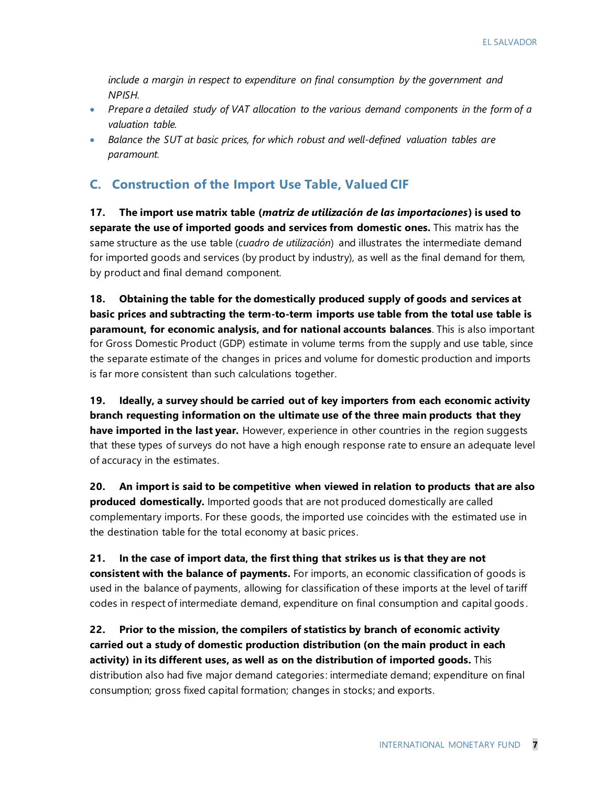*include a margin in respect to expenditure on final consumption by the government and NPISH.*

- *Prepare a detailed study of VAT allocation to the various demand components in the form of a valuation table.*
- *Balance the SUT at basic prices, for which robust and well-defined valuation tables are paramount.*

#### **C. Construction of the Import Use Table, Valued CIF**

**17. The import use matrix table (***matriz de utilización de las importaciones***) is used to separate the use of imported goods and services from domestic ones.** This matrix has the same structure as the use table (*cuadro de utilización*) and illustrates the intermediate demand for imported goods and services (by product by industry), as well as the final demand for them, by product and final demand component.

**18. Obtaining the table for the domestically produced supply of goods and services at basic prices and subtracting the term-to-term imports use table from the total use table is paramount, for economic analysis, and for national accounts balances**. This is also important for Gross Domestic Product (GDP) estimate in volume terms from the supply and use table, since the separate estimate of the changes in prices and volume for domestic production and imports is far more consistent than such calculations together.

**19. Ideally, a survey should be carried out of key importers from each economic activity branch requesting information on the ultimate use of the three main products that they have imported in the last year.** However, experience in other countries in the region suggests that these types of surveys do not have a high enough response rate to ensure an adequate level of accuracy in the estimates.

**20. An import is said to be competitive when viewed in relation to products that are also produced domestically.** Imported goods that are not produced domestically are called complementary imports. For these goods, the imported use coincides with the estimated use in the destination table for the total economy at basic prices.

**21. In the case of import data, the first thing that strikes us is that they are not consistent with the balance of payments.** For imports, an economic classification of goods is used in the balance of payments, allowing for classification of these imports at the level of tariff codes in respect of intermediate demand, expenditure on final consumption and capital goods .

**22. Prior to the mission, the compilers of statistics by branch of economic activity carried out a study of domestic production distribution (on the main product in each activity) in its different uses, as well as on the distribution of imported goods.** This distribution also had five major demand categories: intermediate demand; expenditure on final consumption; gross fixed capital formation; changes in stocks; and exports.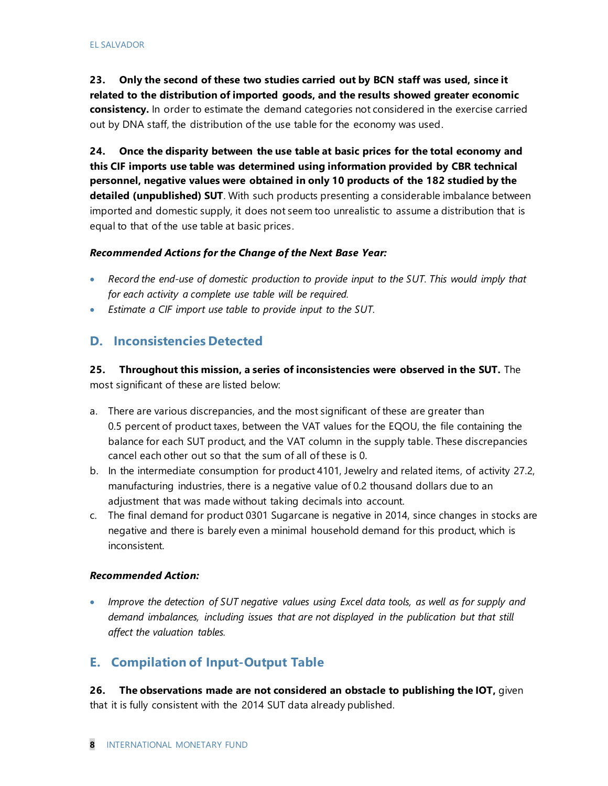**23. Only the second of these two studies carried out by BCN staff was used, since it related to the distribution of imported goods, and the results showed greater economic consistency.** In order to estimate the demand categories not considered in the exercise carried out by DNA staff, the distribution of the use table for the economy was used.

**24. Once the disparity between the use table at basic prices for the total economy and this CIF imports use table was determined using information provided by CBR technical personnel, negative values were obtained in only 10 products of the 182 studied by the detailed (unpublished) SUT**. With such products presenting a considerable imbalance between imported and domestic supply, it does not seem too unrealistic to assume a distribution that is equal to that of the use table at basic prices.

#### *Recommended Actions for the Change of the Next Base Year:*

- *Record the end-use of domestic production to provide input to the SUT. This would imply that for each activity a complete use table will be required.*
- *Estimate a CIF import use table to provide input to the SUT.*

#### **D. Inconsistencies Detected**

**25. Throughout this mission, a series of inconsistencies were observed in the SUT.** The most significant of these are listed below:

- a. There are various discrepancies, and the most significant of these are greater than 0.5 percent of product taxes, between the VAT values for the EQOU, the file containing the balance for each SUT product, and the VAT column in the supply table. These discrepancies cancel each other out so that the sum of all of these is 0.
- b. In the intermediate consumption for product 4101, Jewelry and related items, of activity 27.2, manufacturing industries, there is a negative value of 0.2 thousand dollars due to an adjustment that was made without taking decimals into account.
- c. The final demand for product 0301 Sugarcane is negative in 2014, since changes in stocks are negative and there is barely even a minimal household demand for this product, which is inconsistent.

#### *Recommended Action:*

• *Improve the detection of SUT negative values using Excel data tools, as well as for supply and demand imbalances, including issues that are not displayed in the publication but that still affect the valuation tables.*

#### **E. Compilation of Input-Output Table**

**26. The observations made are not considered an obstacle to publishing the IOT,** given that it is fully consistent with the 2014 SUT data already published.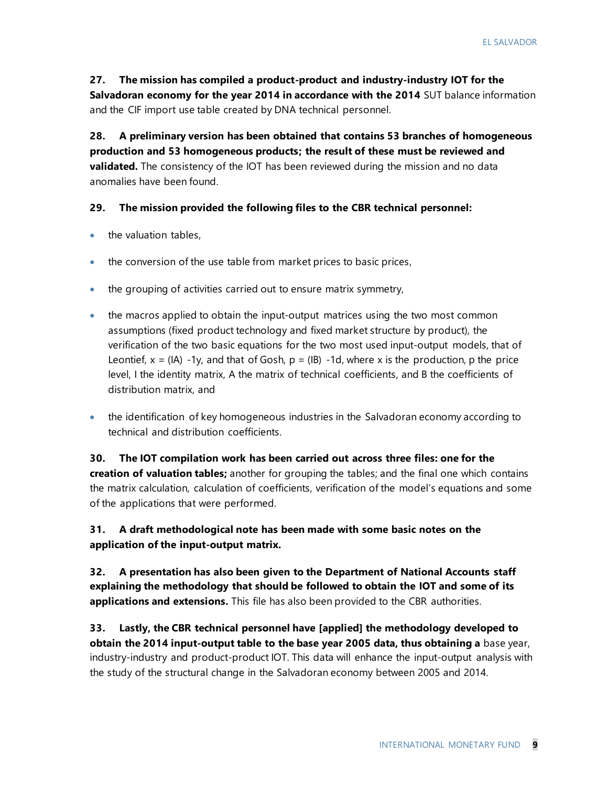#### **27. The mission has compiled a product-product and industry-industry IOT for the**

**Salvadoran economy for the year 2014 in accordance with the 2014** SUT balance information and the CIF import use table created by DNA technical personnel.

**28. A preliminary version has been obtained that contains 53 branches of homogeneous production and 53 homogeneous products; the result of these must be reviewed and validated.** The consistency of the IOT has been reviewed during the mission and no data anomalies have been found.

#### **29. The mission provided the following files to the CBR technical personnel:**

- the valuation tables,
- the conversion of the use table from market prices to basic prices,
- the grouping of activities carried out to ensure matrix symmetry,
- the macros applied to obtain the input-output matrices using the two most common assumptions (fixed product technology and fixed market structure by product), the verification of the two basic equations for the two most used input-output models, that of Leontief,  $x = (IA) -1y$ , and that of Gosh,  $p = (IB) -1d$ , where x is the production, p the price level, I the identity matrix, A the matrix of technical coefficients, and B the coefficients of distribution matrix, and
- the identification of key homogeneous industries in the Salvadoran economy according to technical and distribution coefficients.

### **30. The IOT compilation work has been carried out across three files: one for the**

**creation of valuation tables;** another for grouping the tables; and the final one which contains the matrix calculation, calculation of coefficients, verification of the model's equations and some of the applications that were performed.

#### **31. A draft methodological note has been made with some basic notes on the application of the input-output matrix.**

**32. A presentation has also been given to the Department of National Accounts staff explaining the methodology that should be followed to obtain the IOT and some of its applications and extensions.** This file has also been provided to the CBR authorities.

**33. Lastly, the CBR technical personnel have [applied] the methodology developed to obtain the 2014 input-output table to the base year 2005 data, thus obtaining a** base year, industry-industry and product-product IOT. This data will enhance the input-output analysis with the study of the structural change in the Salvadoran economy between 2005 and 2014.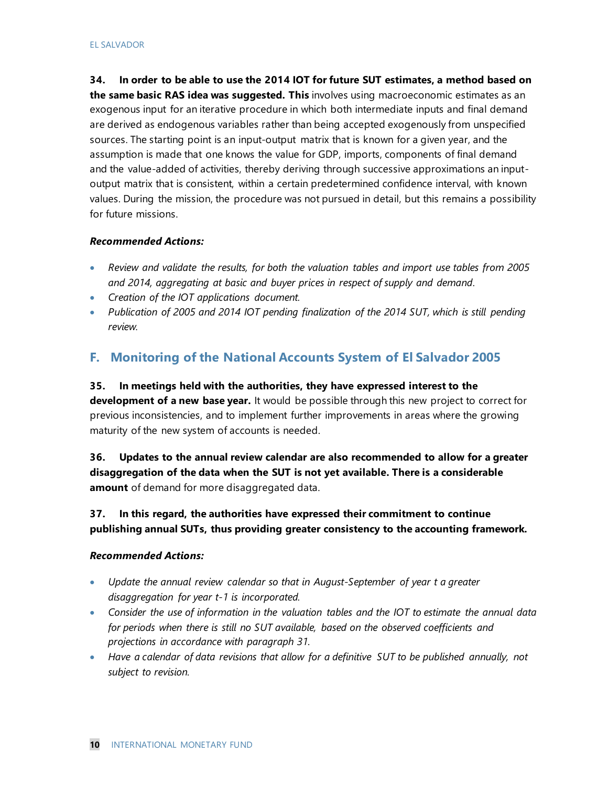**34. In order to be able to use the 2014 IOT for future SUT estimates, a method based on the same basic RAS idea was suggested. This** involves using macroeconomic estimates as an exogenous input for an iterative procedure in which both intermediate inputs and final demand are derived as endogenous variables rather than being accepted exogenously from unspecified sources. The starting point is an input-output matrix that is known for a given year, and the assumption is made that one knows the value for GDP, imports, components of final demand and the value-added of activities, thereby deriving through successive approximations an inputoutput matrix that is consistent, within a certain predetermined confidence interval, with known values. During the mission, the procedure was not pursued in detail, but this remains a possibility for future missions.

#### *Recommended Actions:*

- *Review and validate the results, for both the valuation tables and import use tables from 2005 and 2014, aggregating at basic and buyer prices in respect of supply and demand.*
- *Creation of the IOT applications document.*
- *Publication of 2005 and 2014 IOT pending finalization of the 2014 SUT, which is still pending review.*

#### **F. Monitoring of the National Accounts System of El Salvador 2005**

**35. In meetings held with the authorities, they have expressed interest to the development of a new base year.** It would be possible through this new project to correct for previous inconsistencies, and to implement further improvements in areas where the growing maturity of the new system of accounts is needed.

**36. Updates to the annual review calendar are also recommended to allow for a greater disaggregation of the data when the SUT is not yet available. There is a considerable amount** of demand for more disaggregated data.

#### **37. In this regard, the authorities have expressed their commitment to continue publishing annual SUTs, thus providing greater consistency to the accounting framework.**

#### *Recommended Actions:*

- *Update the annual review calendar so that in August-September of year t a greater disaggregation for year t-1 is incorporated.*
- *Consider the use of information in the valuation tables and the IOT to estimate the annual data for periods when there is still no SUT available, based on the observed coefficients and projections in accordance with paragraph 31.*
- *Have a calendar of data revisions that allow for a definitive SUT to be published annually, not subject to revision.*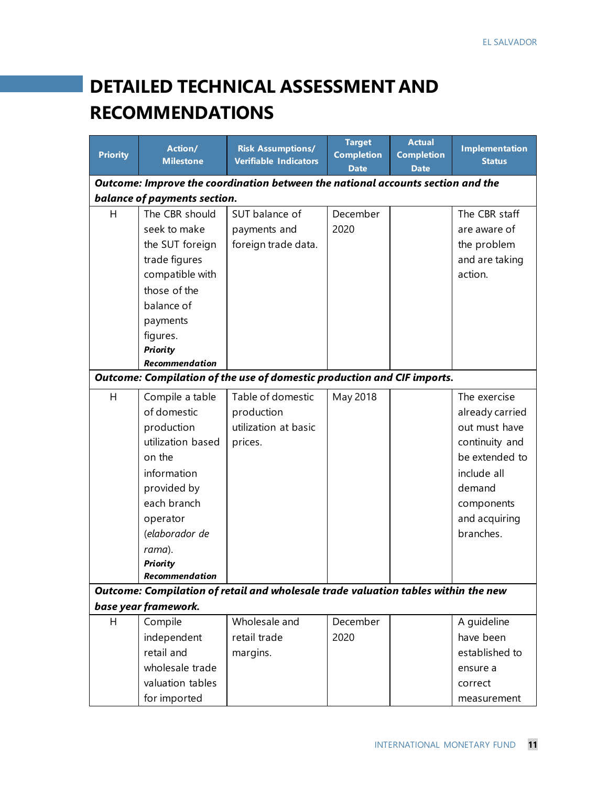# **DETAILED TECHNICAL ASSESSMENT AND RECOMMENDATIONS**

| <b>Priority</b>                                                                    | Action/<br><b>Milestone</b>  | <b>Risk Assumptions/</b><br><b>Verifiable Indicators</b>                        | <b>Target</b><br><b>Completion</b> | <b>Actual</b><br><b>Completion</b> | <b>Implementation</b><br><b>Status</b> |
|------------------------------------------------------------------------------------|------------------------------|---------------------------------------------------------------------------------|------------------------------------|------------------------------------|----------------------------------------|
|                                                                                    |                              |                                                                                 | <b>Date</b>                        | <b>Date</b>                        |                                        |
|                                                                                    |                              | Outcome: Improve the coordination between the national accounts section and the |                                    |                                    |                                        |
|                                                                                    | balance of payments section. |                                                                                 |                                    |                                    |                                        |
| H                                                                                  | The CBR should               | SUT balance of                                                                  | December                           |                                    | The CBR staff                          |
|                                                                                    | seek to make                 | payments and                                                                    | 2020                               |                                    | are aware of                           |
|                                                                                    | the SUT foreign              | foreign trade data.                                                             |                                    |                                    | the problem                            |
|                                                                                    | trade figures                |                                                                                 |                                    |                                    | and are taking                         |
|                                                                                    | compatible with              |                                                                                 |                                    |                                    | action.                                |
|                                                                                    | those of the                 |                                                                                 |                                    |                                    |                                        |
|                                                                                    | balance of                   |                                                                                 |                                    |                                    |                                        |
|                                                                                    | payments                     |                                                                                 |                                    |                                    |                                        |
|                                                                                    | figures.                     |                                                                                 |                                    |                                    |                                        |
|                                                                                    | <b>Priority</b>              |                                                                                 |                                    |                                    |                                        |
|                                                                                    | Recommendation               |                                                                                 |                                    |                                    |                                        |
| Outcome: Compilation of the use of domestic production and CIF imports.            |                              |                                                                                 |                                    |                                    |                                        |
| H                                                                                  | Compile a table              | Table of domestic                                                               | May 2018                           |                                    | The exercise                           |
|                                                                                    | of domestic                  | production                                                                      |                                    |                                    | already carried                        |
|                                                                                    | production                   | utilization at basic                                                            |                                    |                                    | out must have                          |
|                                                                                    | utilization based            | prices.                                                                         |                                    |                                    | continuity and                         |
|                                                                                    | on the                       |                                                                                 |                                    |                                    | be extended to                         |
|                                                                                    | information                  |                                                                                 |                                    |                                    | include all                            |
|                                                                                    | provided by                  |                                                                                 |                                    |                                    | demand                                 |
|                                                                                    | each branch                  |                                                                                 |                                    |                                    | components                             |
|                                                                                    | operator                     |                                                                                 |                                    |                                    | and acquiring                          |
|                                                                                    | (elaborador de               |                                                                                 |                                    |                                    | branches.                              |
|                                                                                    | rama).                       |                                                                                 |                                    |                                    |                                        |
|                                                                                    | <b>Priority</b>              |                                                                                 |                                    |                                    |                                        |
|                                                                                    | Recommendation               |                                                                                 |                                    |                                    |                                        |
| Outcome: Compilation of retail and wholesale trade valuation tables within the new |                              |                                                                                 |                                    |                                    |                                        |
|                                                                                    | base year framework.         |                                                                                 |                                    |                                    |                                        |
| H                                                                                  | Compile                      | Wholesale and                                                                   | December                           |                                    | A guideline                            |
|                                                                                    | independent                  | retail trade                                                                    | 2020                               |                                    | have been                              |
|                                                                                    | retail and                   | margins.                                                                        |                                    |                                    | established to                         |
|                                                                                    | wholesale trade              |                                                                                 |                                    |                                    | ensure a                               |
|                                                                                    | valuation tables             |                                                                                 |                                    |                                    | correct                                |
|                                                                                    | for imported                 |                                                                                 |                                    |                                    | measurement                            |